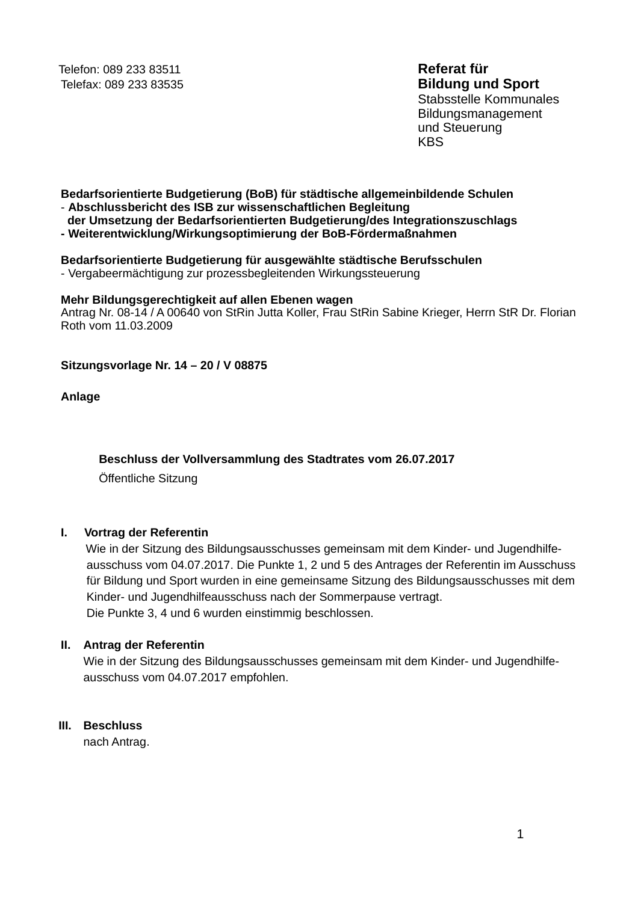Telefon: 089 233 83511 Telefax: 089 233 83535

# Referat für **Bildung und Sport**

Stabsstelle Kommunales Bildungsmanagement und Steuerung **KBS** 

#### Bedarfsorientierte Budgetierung (BoB) für städtische allgemeinbildende Schulen - Abschlussbericht des ISB zur wissenschaftlichen Begleitung

## der Umsetzung der Bedarfsorientierten Budgetierung/des Integrationszuschlags

- Weiterentwicklung/Wirkungsoptimierung der BoB-Fördermaßnahmen

#### Bedarfsorientierte Budgetierung für ausgewählte städtische Berufsschulen

- Vergabeermächtigung zur prozessbegleitenden Wirkungssteuerung

#### Mehr Bildungsgerechtigkeit auf allen Ebenen wagen

Antrag Nr. 08-14 / A 00640 von StRin Jutta Koller. Frau StRin Sabine Krieger. Herrn StR Dr. Florian Roth vom 11.03.2009

## Sitzungsvorlage Nr. 14 - 20 / V 08875

Anlage

## Beschluss der Vollversammlung des Stadtrates vom 26.07.2017

Öffentliche Sitzung

#### L. Vortrag der Referentin

Wie in der Sitzung des Bildungsausschusses gemeinsam mit dem Kinder- und Jugendhilfeausschuss vom 04.07.2017. Die Punkte 1, 2 und 5 des Antrages der Referentin im Ausschuss für Bildung und Sport wurden in eine gemeinsame Sitzung des Bildungsausschusses mit dem Kinder- und Jugendhilfeausschuss nach der Sommerpause vertragt. Die Punkte 3, 4 und 6 wurden einstimmig beschlossen.

## II. Antrag der Referentin

Wie in der Sitzung des Bildungsausschusses gemeinsam mit dem Kinder- und Jugendhilfeausschuss vom 04.07.2017 empfohlen.

# III. Reschluss

nach Antrag.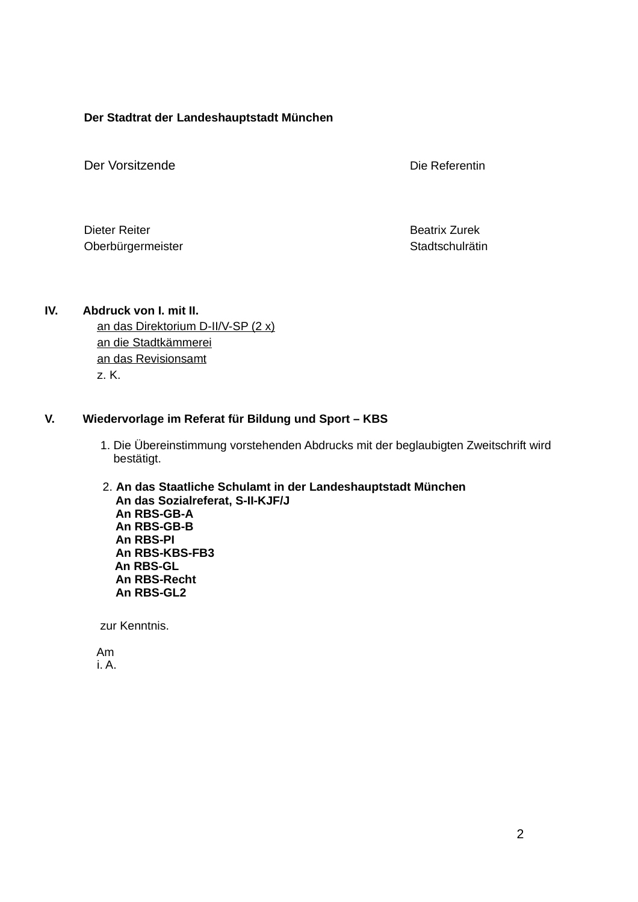#### Der Stadtrat der Landeshauptstadt München

Der Vorsitzende

Die Referentin

Dieter Reiter Oberbürgermeister **Beatrix Zurek** Stadtschulrätin

#### IV. Abdruck von I. mit II. an das Direktorium D-II/V-SP (2 x) an die Stadtkämmerei an das Revisionsamt z. K.

#### V. Wiedervorlage im Referat für Bildung und Sport - KBS

- 1. Die Übereinstimmung vorstehenden Abdrucks mit der beglaubigten Zweitschrift wird bestätigt.
- 2. An das Staatliche Schulamt in der Landeshauptstadt München An das Sozialreferat, S-II-KJF/J An RBS-GB-A An RBS-GB-B An RBS-PI An RBS-KBS-FB3 An RBS-GL An RBS-Recht An RBS-GL2

zur Kenntnis.

Am  $i. A.$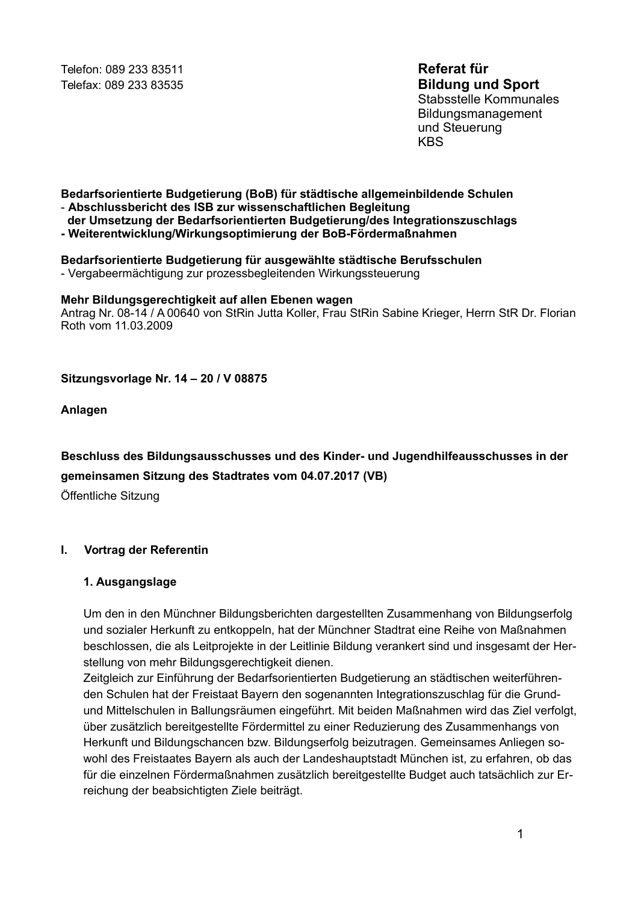Telefon: 089 233 83511 Telefax: 089 233 83535 Referat für **Bildung und Sport** 

Stabsstelle Kommunales Bildungsmanagement und Steuerung **KBS** 

#### Bedarfsorientierte Budgetierung (BoB) für städtische allgemeinbildende Schulen - Abschlussbericht des ISB zur wissenschaftlichen Begleitung

der Umsetzung der Bedarfsorientierten Budgetierung/des Integrationszuschlags

- Weiterentwicklung/Wirkungsoptimierung der BoB-Fördermaßnahmen

Bedarfsorientierte Budgetierung für ausgewählte städtische Berufsschulen - Vergabeermächtigung zur prozessbegleitenden Wirkungssteuerung

#### Mehr Bildungsgerechtigkeit auf allen Ebenen wagen

Antrag Nr. 08-14 / A 00640 von StRin Jutta Koller, Frau StRin Sabine Krieger, Herrn StR Dr. Florian Roth vom 11 03 2009

## Sitzungsvorlage Nr. 14 - 20 / V 08875

Anlagen

Beschluss des Bildungsausschusses und des Kinder- und Jugendhilfeausschusses in der gemeinsamen Sitzung des Stadtrates vom 04.07.2017 (VB)

Öffentliche Sitzung

#### $\mathbf{L}$ Vortrag der Referentin

## 1. Ausgangslage

Um den in den Münchner Bildungsberichten dargestellten Zusammenhang von Bildungserfolg und sozialer Herkunft zu entkoppeln, hat der Münchner Stadtrat eine Reihe von Maßnahmen beschlossen, die als Leitprojekte in der Leitlinie Bildung verankert sind und insgesamt der Herstellung von mehr Bildungsgerechtigkeit dienen.

Zeitgleich zur Einführung der Bedarfsorientierten Budgetierung an städtischen weiterführenden Schulen hat der Freistaat Bayern den sogenannten Integrationszuschlag für die Grundund Mittelschulen in Ballungsräumen eingeführt. Mit beiden Maßnahmen wird das Ziel verfolgt, über zusätzlich bereitgestellte Fördermittel zu einer Reduzierung des Zusammenhangs von Herkunft und Bildungschancen bzw. Bildungserfolg beizutragen. Gemeinsames Anliegen sowohl des Freistaates Bayern als auch der Landeshauptstadt München ist, zu erfahren, ob das für die einzelnen Fördermaßnahmen zusätzlich bereitgestellte Budget auch tatsächlich zur Erreichung der beabsichtigten Ziele beiträgt.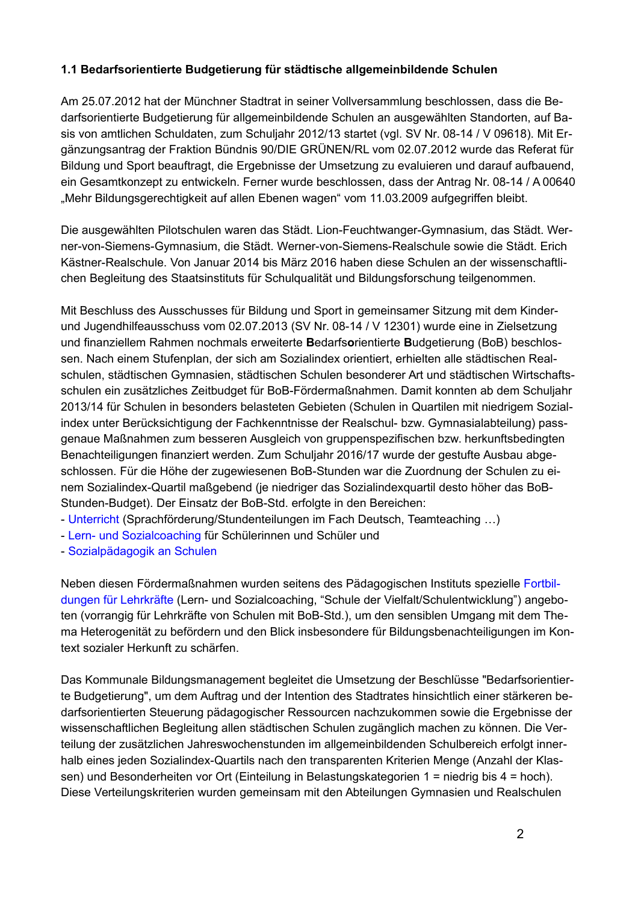# 1.1 Bedarfsorientierte Budgetierung für städtische allgemeinbildende Schulen

Am 25.07.2012 hat der Münchner Stadtrat in seiner Vollversammlung beschlossen, dass die Bedarfsorientierte Budgetierung für allgemeinbildende Schulen an ausgewählten Standorten, auf Basis von amtlichen Schuldaten, zum Schuljahr 2012/13 startet (vgl. SV Nr. 08-14 / V 09618). Mit Ergänzungsantrag der Fraktion Bündnis 90/DIE GRÜNEN/RL vom 02.07.2012 wurde das Referat für Bildung und Sport beauftragt, die Ergebnisse der Umsetzung zu evaluieren und darauf aufbauend, ein Gesamtkonzept zu entwickeln. Ferner wurde beschlossen, dass der Antrag Nr. 08-14 / A 00640 "Mehr Bildungsgerechtigkeit auf allen Ebenen wagen" vom 11.03.2009 aufgegriffen bleibt.

Die ausgewählten Pilotschulen waren das Städt. Lion-Feuchtwanger-Gymnasium, das Städt. Werner-von-Siemens-Gymnasium, die Städt. Werner-von-Siemens-Realschule sowie die Städt. Erich Kästner-Realschule. Von Januar 2014 bis März 2016 haben diese Schulen an der wissenschaftlichen Begleitung des Staatsinstituts für Schulgualität und Bildungsforschung teilgenommen.

Mit Beschluss des Ausschusses für Bildung und Sport in gemeinsamer Sitzung mit dem Kinderund Jugendhilfeausschuss vom 02.07.2013 (SV Nr. 08-14 / V 12301) wurde eine in Zielsetzung und finanziellem Rahmen nochmals erweiterte Bedarfsorientierte Budgetierung (BoB) beschlossen. Nach einem Stufenplan, der sich am Sozialindex orientiert, erhielten alle städtischen Realschulen, städtischen Gymnasien, städtischen Schulen besonderer Art und städtischen Wirtschaftsschulen ein zusätzliches Zeitbudget für BoB-Fördermaßnahmen. Damit konnten ab dem Schuljahr 2013/14 für Schulen in besonders belasteten Gebieten (Schulen in Quartilen mit niedrigem Sozialindex unter Berücksichtigung der Fachkenntnisse der Realschul- bzw. Gymnasialabteilung) passgenaue Maßnahmen zum besseren Ausgleich von gruppenspezifischen bzw. herkunftsbedingten Benachteiligungen finanziert werden. Zum Schuljahr 2016/17 wurde der gestufte Ausbau abgeschlossen. Für die Höhe der zugewiesenen BoB-Stunden war die Zuordnung der Schulen zu einem Sozialindex-Quartil maßgebend (je niedriger das Sozialindexquartil desto höher das BoB-Stunden-Budget). Der Einsatz der BoB-Std. erfolgte in den Bereichen:

- Unterricht (Sprachförderung/Stundenteilungen im Fach Deutsch, Teamteaching ...)

- Lern- und Sozialcoaching für Schülerinnen und Schüler und
- Sozialpädagogik an Schulen

Neben diesen Fördermaßnahmen wurden seitens des Pädagogischen Instituts spezielle Fortbildungen für Lehrkräfte (Lern- und Sozialcoaching, "Schule der Vielfalt/Schulentwicklung") angeboten (vorrangig für Lehrkräfte von Schulen mit BoB-Std.), um den sensiblen Umgang mit dem Thema Heterogenität zu befördern und den Blick insbesondere für Bildungsbenachteiligungen im Kontext sozialer Herkunft zu schärfen.

Das Kommunale Bildungsmanagement begleitet die Umsetzung der Beschlüsse "Bedarfsorientierte Budgetierung", um dem Auftrag und der Intention des Stadtrates hinsichtlich einer stärkeren bedarfsorientierten Steuerung pädagogischer Ressourcen nachzukommen sowie die Ergebnisse der wissenschaftlichen Begleitung allen städtischen Schulen zugänglich machen zu können. Die Verteilung der zusätzlichen Jahreswochenstunden im allgemeinbildenden Schulbereich erfolgt innerhalb eines jeden Sozialindex-Quartils nach den transparenten Kriterien Menge (Anzahl der Klassen) und Besonderheiten vor Ort (Einteilung in Belastungskategorien 1 = niedrig bis 4 = hoch). Diese Verteilungskriterien wurden gemeinsam mit den Abteilungen Gymnasien und Realschulen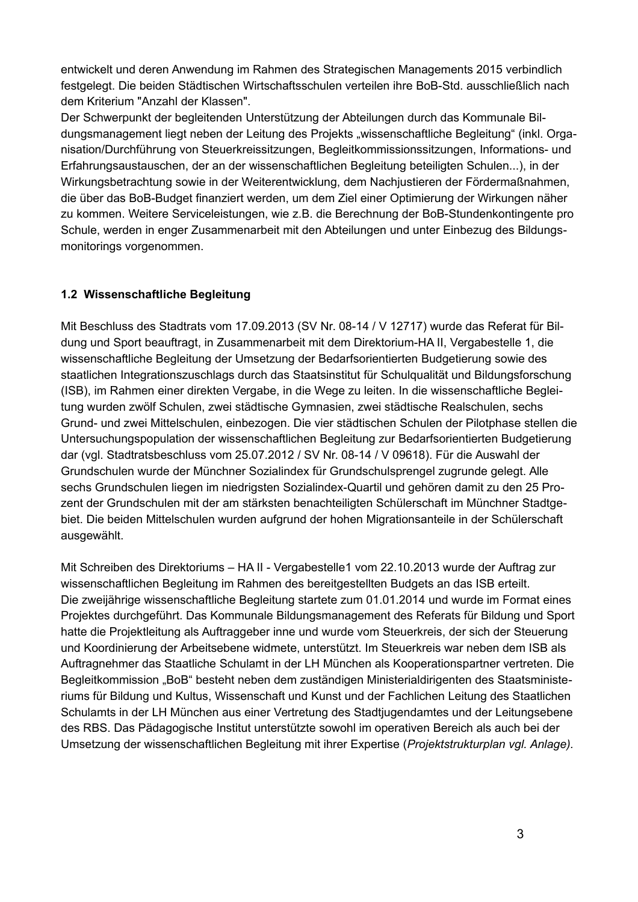entwickelt und deren Anwendung im Rahmen des Strategischen Managements 2015 verbindlich festgelegt. Die beiden Städtischen Wirtschaftsschulen verteilen ihre BoB-Std. ausschließlich nach dem Kriterium "Anzahl der Klassen".

Der Schwerpunkt der begleitenden Unterstützung der Abteilungen durch das Kommunale Bildungsmanagement liegt neben der Leitung des Projekts "wissenschaftliche Begleitung" (inkl. Organisation/Durchführung von Steuerkreissitzungen, Begleitkommissionssitzungen, Informations- und Erfahrungsaustauschen, der an der wissenschaftlichen Begleitung beteiligten Schulen...), in der Wirkungsbetrachtung sowie in der Weiterentwicklung, dem Nachjustieren der Fördermaßnahmen, die über das BoB-Budget finanziert werden, um dem Ziel einer Optimierung der Wirkungen näher zu kommen. Weitere Serviceleistungen, wie z.B. die Berechnung der BoB-Stundenkontingente pro Schule, werden in enger Zusammenarbeit mit den Abteilungen und unter Einbezug des Bildungsmonitorings vorgenommen.

# 1.2 Wissenschaftliche Begleitung

Mit Beschluss des Stadtrats vom 17.09.2013 (SV Nr. 08-14 / V 12717) wurde das Referat für Bildung und Sport beauftragt, in Zusammenarbeit mit dem Direktorium-HA II, Vergabestelle 1, die wissenschaftliche Begleitung der Umsetzung der Bedarfsorientierten Budgetierung sowie des staatlichen Integrationszuschlags durch das Staatsinstitut für Schulgualität und Bildungsforschung (ISB), im Rahmen einer direkten Vergabe, in die Wege zu leiten. In die wissenschaftliche Begleitung wurden zwölf Schulen, zwei städtische Gymnasien, zwei städtische Realschulen, sechs Grund- und zwei Mittelschulen, einbezogen. Die vier städtischen Schulen der Pilotphase stellen die Untersuchungspopulation der wissenschaftlichen Begleitung zur Bedarfsorientierten Budgetierung dar (vgl. Stadtratsbeschluss vom 25.07.2012 / SV Nr. 08-14 / V 09618). Für die Auswahl der Grundschulen wurde der Münchner Sozialindex für Grundschulsprengel zugrunde gelegt. Alle sechs Grundschulen liegen im niedrigsten Sozialindex-Quartil und gehören damit zu den 25 Prozent der Grundschulen mit der am stärksten benachteiligten Schülerschaft im Münchner Stadtgebiet. Die beiden Mittelschulen wurden aufgrund der hohen Migrationsanteile in der Schülerschaft ausgewählt.

Mit Schreiben des Direktoriums - HA II - Vergabestelle1 vom 22.10.2013 wurde der Auftrag zur wissenschaftlichen Begleitung im Rahmen des bereitgestellten Budgets an das ISB erteilt. Die zweijährige wissenschaftliche Begleitung startete zum 01.01.2014 und wurde im Format eines Projektes durchgeführt. Das Kommunale Bildungsmanagement des Referats für Bildung und Sport hatte die Projektleitung als Auftraggeber inne und wurde vom Steuerkreis, der sich der Steuerung und Koordinierung der Arbeitsebene widmete, unterstützt. Im Steuerkreis war neben dem ISB als Auftragnehmer das Staatliche Schulamt in der LH München als Kooperationspartner vertreten. Die Begleitkommission "BoB" besteht neben dem zuständigen Ministerialdirigenten des Staatsministeriums für Bildung und Kultus, Wissenschaft und Kunst und der Fachlichen Leitung des Staatlichen Schulamts in der LH München aus einer Vertretung des Stadtjugendamtes und der Leitungsebene des RBS. Das Pädagogische Institut unterstützte sowohl im operativen Bereich als auch bei der Umsetzung der wissenschaftlichen Begleitung mit ihrer Expertise (Projektstrukturplan vgl. Anlage).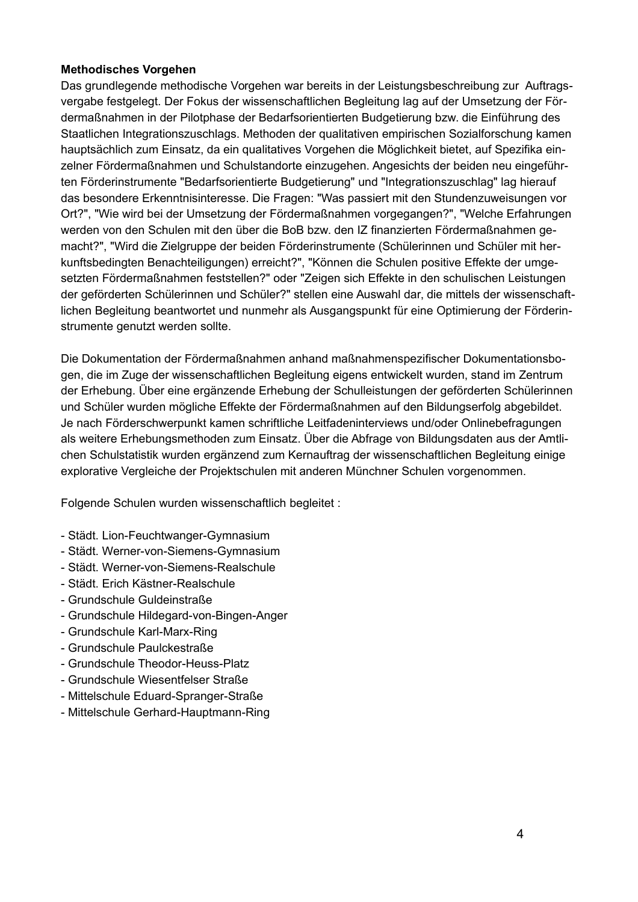# **Methodisches Vorgehen**

Das grundlegende methodische Vorgehen war bereits in der Leistungsbeschreibung zur Auftragsvergabe festgelegt. Der Fokus der wissenschaftlichen Begleitung lag auf der Umsetzung der Fördermaßnahmen in der Pilotphase der Bedarfsorientierten Budgetierung bzw. die Einführung des Staatlichen Integrationszuschlags. Methoden der qualitativen empirischen Sozialforschung kamen hauptsächlich zum Einsatz, da ein qualitatives Vorgehen die Möglichkeit bietet, auf Spezifika einzelner Fördermaßnahmen und Schulstandorte einzugehen. Angesichts der beiden neu eingeführten Förderinstrumente "Bedarfsorientierte Budgetierung" und "Integrationszuschlag" lag hierauf das besondere Erkenntnisinteresse. Die Fragen: "Was passiert mit den Stundenzuweisungen vor Ort?", "Wie wird bei der Umsetzung der Fördermaßnahmen vorgegangen?", "Welche Erfahrungen werden von den Schulen mit den über die BoB bzw. den IZ finanzierten Fördermaßnahmen gemacht?", "Wird die Zielgruppe der beiden Förderinstrumente (Schülerinnen und Schüler mit herkunftsbedingten Benachteiligungen) erreicht?", "Können die Schulen positive Effekte der umgesetzten Fördermaßnahmen feststellen?" oder "Zeigen sich Effekte in den schulischen Leistungen der geförderten Schülerinnen und Schüler?" stellen eine Auswahl dar, die mittels der wissenschaftlichen Begleitung beantwortet und nunmehr als Ausgangspunkt für eine Optimierung der Förderinstrumente genutzt werden sollte.

Die Dokumentation der Fördermaßnahmen anhand maßnahmenspezifischer Dokumentationsbogen, die im Zuge der wissenschaftlichen Begleitung eigens entwickelt wurden, stand im Zentrum der Erhebung. Über eine ergänzende Erhebung der Schulleistungen der geförderten Schülerinnen und Schüler wurden mögliche Effekte der Fördermaßnahmen auf den Bildungserfolg abgebildet. Je nach Förderschwerpunkt kamen schriftliche Leitfadeninterviews und/oder Onlinebefragungen als weitere Erhebungsmethoden zum Einsatz. Über die Abfrage von Bildungsdaten aus der Amtlichen Schulstatistik wurden ergänzend zum Kernauftrag der wissenschaftlichen Begleitung einige explorative Vergleiche der Projektschulen mit anderen Münchner Schulen vorgenommen.

Folgende Schulen wurden wissenschaftlich begleitet:

- Städt. Lion-Feuchtwanger-Gymnasium
- Städt. Werner-von-Siemens-Gymnasium
- Städt. Werner-von-Siemens-Realschule
- Städt. Erich Kästner-Realschule
- Grundschule Guldeinstraße
- Grundschule Hildegard-von-Bingen-Anger
- Grundschule Karl-Marx-Ring
- Grundschule Paulckestraße
- Grundschule Theodor-Heuss-Platz
- Grundschule Wiesentfelser Straße
- Mittelschule Eduard-Spranger-Straße
- Mittelschule Gerhard-Hauptmann-Ring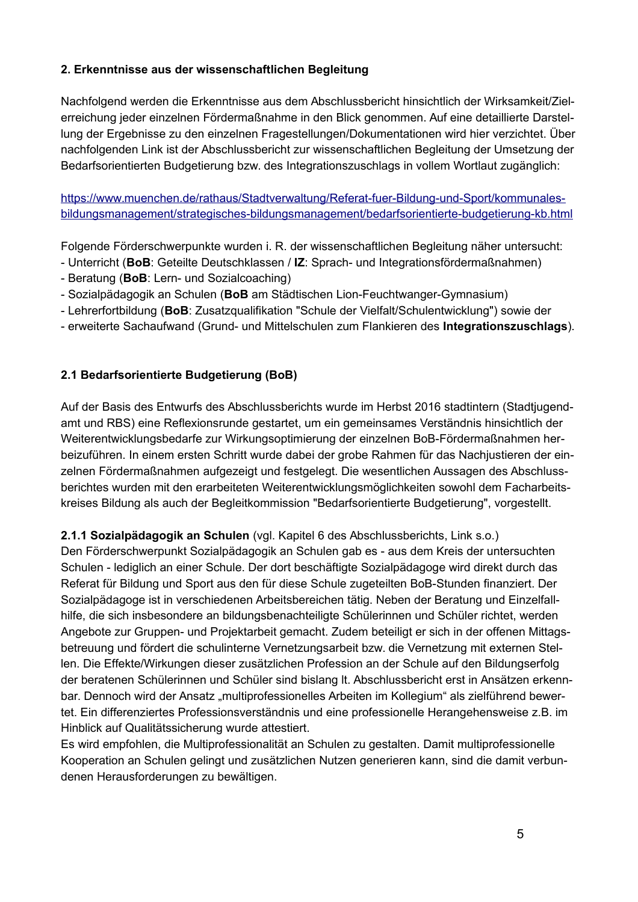# 2. Erkenntnisse aus der wissenschaftlichen Begleitung

Nachfolgend werden die Erkenntnisse aus dem Abschlussbericht hinsichtlich der Wirksamkeit/Zielerreichung jeder einzelnen Fördermaßnahme in den Blick genommen. Auf eine detaillierte Darstellung der Ergebnisse zu den einzelnen Fragestellungen/Dokumentationen wird hier verzichtet. Über nachfolgenden Link ist der Abschlussbericht zur wissenschaftlichen Begleitung der Umsetzung der Bedarfsorientierten Budgetierung bzw. des Integrationszuschlags in vollem Wortlaut zugänglich:

https://www.muenchen.de/rathaus/Stadtverwaltung/Referat-fuer-Bildung-und-Sport/kommunalesbildungsmanagement/strategisches-bildungsmanagement/bedarfsorientierte-budgetierung-kb.html

Folgende Förderschwerpunkte wurden i. R. der wissenschaftlichen Begleitung näher untersucht:

- Unterricht (BoB: Geteilte Deutschklassen / IZ: Sprach- und Integrationsfördermaßnahmen)
- Beratung (BoB: Lern- und Sozialcoaching)
- Sozialpädagogik an Schulen (BoB am Städtischen Lion-Feuchtwanger-Gymnasium)
- Lehrerfortbildung (BoB: Zusatzqualifikation "Schule der Vielfalt/Schulentwicklung") sowie der
- erweiterte Sachaufwand (Grund- und Mittelschulen zum Flankieren des Integrationszuschlags).

# 2.1 Bedarfsorientierte Budgetierung (BoB)

Auf der Basis des Entwurfs des Abschlussberichts wurde im Herbst 2016 stadtintern (Stadtjugendamt und RBS) eine Reflexionsrunde gestartet, um ein gemeinsames Verständnis hinsichtlich der Weiterentwicklungsbedarfe zur Wirkungsoptimierung der einzelnen BoB-Fördermaßnahmen herbeizuführen. In einem ersten Schritt wurde dabei der grobe Rahmen für das Nachjustieren der einzelnen Fördermaßnahmen aufgezeigt und festgelegt. Die wesentlichen Aussagen des Abschlussberichtes wurden mit den erarbeiteten Weiterentwicklungsmöglichkeiten sowohl dem Facharbeitskreises Bildung als auch der Begleitkommission "Bedarfsorientierte Budgetierung", vorgestellt.

2.1.1 Sozialpädagogik an Schulen (vgl. Kapitel 6 des Abschlussberichts, Link s.o.)

Den Förderschwerpunkt Sozialpädagogik an Schulen gab es - aus dem Kreis der untersuchten Schulen - lediglich an einer Schule. Der dort beschäftigte Sozialpädagoge wird direkt durch das Referat für Bildung und Sport aus den für diese Schule zugeteilten BoB-Stunden finanziert. Der Sozialpädagoge ist in verschiedenen Arbeitsbereichen tätig. Neben der Beratung und Einzelfallhilfe, die sich insbesondere an bildungsbenachteiligte Schülerinnen und Schüler richtet, werden Angebote zur Gruppen- und Projektarbeit gemacht. Zudem beteiligt er sich in der offenen Mittagsbetreuung und fördert die schulinterne Vernetzungsarbeit bzw. die Vernetzung mit externen Stellen. Die Effekte/Wirkungen dieser zusätzlichen Profession an der Schule auf den Bildungserfolg der beratenen Schülerinnen und Schüler sind bislang It. Abschlussbericht erst in Ansätzen erkennbar. Dennoch wird der Ansatz "multiprofessionelles Arbeiten im Kollegium" als zielführend bewertet. Ein differenziertes Professionsverständnis und eine professionelle Herangehensweise z.B. im Hinblick auf Qualitätssicherung wurde attestiert.

Es wird empfohlen, die Multiprofessionalität an Schulen zu gestalten. Damit multiprofessionelle Kooperation an Schulen gelingt und zusätzlichen Nutzen generieren kann, sind die damit verbundenen Herausforderungen zu bewältigen.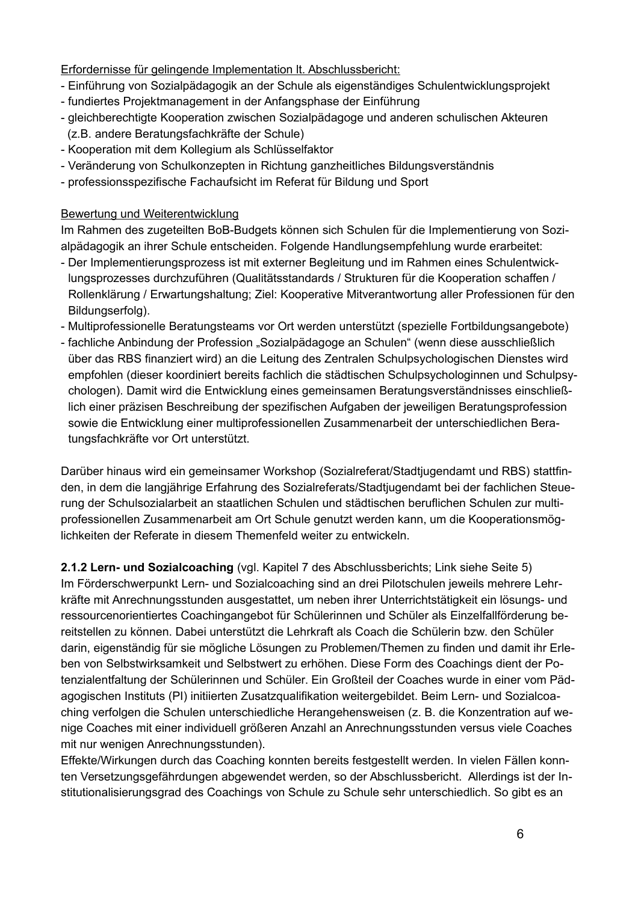Erfordernisse für gelingende Implementation It. Abschlussbericht:

- Einführung von Sozialpädagogik an der Schule als eigenständiges Schulentwicklungsprojekt
- fundiertes Projektmanagement in der Anfangsphase der Einführung
- gleichberechtigte Kooperation zwischen Sozialpädagoge und anderen schulischen Akteuren (z.B. andere Beratungsfachkräfte der Schule)
- Kooperation mit dem Kollegium als Schlüsselfaktor
- Veränderung von Schulkonzepten in Richtung ganzheitliches Bildungsverständnis
- professionsspezifische Fachaufsicht im Referat für Bildung und Sport

# Bewertung und Weiterentwicklung

Im Rahmen des zugeteilten BoB-Budgets können sich Schulen für die Implementierung von Sozialpädagogik an ihrer Schule entscheiden. Folgende Handlungsempfehlung wurde erarbeitet:

- Der Implementierungsprozess ist mit externer Begleitung und im Rahmen eines Schulentwicklungsprozesses durchzuführen (Qualitätsstandards / Strukturen für die Kooperation schaffen / Rollenklärung / Erwartungshaltung; Ziel: Kooperative Mitverantwortung aller Professionen für den Bildungserfolg).
- Multiprofessionelle Beratungsteams vor Ort werden unterstützt (spezielle Fortbildungsangebote)
- fachliche Anbindung der Profession "Sozialpädagoge an Schulen" (wenn diese ausschließlich über das RBS finanziert wird) an die Leitung des Zentralen Schulpsychologischen Dienstes wird empfohlen (dieser koordiniert bereits fachlich die städtischen Schulpsychologinnen und Schulpsychologen). Damit wird die Entwicklung eines gemeinsamen Beratungsverständnisses einschließlich einer präzisen Beschreibung der spezifischen Aufgaben der jeweiligen Beratungsprofession sowie die Entwicklung einer multiprofessionellen Zusammenarbeit der unterschiedlichen Beratungsfachkräfte vor Ort unterstützt.

Darüber hinaus wird ein gemeinsamer Workshop (Sozialreferat/Stadtjugendamt und RBS) stattfinden, in dem die langjährige Erfahrung des Sozialreferats/Stadtjugendamt bei der fachlichen Steuerung der Schulsozialarbeit an staatlichen Schulen und städtischen beruflichen Schulen zur multiprofessionellen Zusammenarbeit am Ort Schule genutzt werden kann, um die Kooperationsmöglichkeiten der Referate in diesem Themenfeld weiter zu entwickeln.

2.1.2 Lern- und Sozialcoaching (vgl. Kapitel 7 des Abschlussberichts; Link siehe Seite 5) Im Förderschwerpunkt Lern- und Sozialcoaching sind an drei Pilotschulen jeweils mehrere Lehrkräfte mit Anrechnungsstunden ausgestattet, um neben ihrer Unterrichtstätigkeit ein lösungs- und ressourcenorientiertes Coachingangebot für Schülerinnen und Schüler als Einzelfallförderung bereitstellen zu können. Dabei unterstützt die Lehrkraft als Coach die Schülerin bzw. den Schüler darin, eigenständig für sie mögliche Lösungen zu Problemen/Themen zu finden und damit ihr Erleben von Selbstwirksamkeit und Selbstwert zu erhöhen. Diese Form des Coachings dient der Potenzialentfaltung der Schülerinnen und Schüler. Ein Großteil der Coaches wurde in einer vom Pädagogischen Instituts (PI) initiierten Zusatzqualifikation weitergebildet. Beim Lern- und Sozialcoaching verfolgen die Schulen unterschiedliche Herangehensweisen (z. B. die Konzentration auf wenige Coaches mit einer individuell größeren Anzahl an Anrechnungsstunden versus viele Coaches mit nur wenigen Anrechnungsstunden).

Effekte/Wirkungen durch das Coaching konnten bereits festgestellt werden. In vielen Fällen konnten Versetzungsgefährdungen abgewendet werden, so der Abschlussbericht. Allerdings ist der Institutionalisierungsgrad des Coachings von Schule zu Schule sehr unterschiedlich. So gibt es an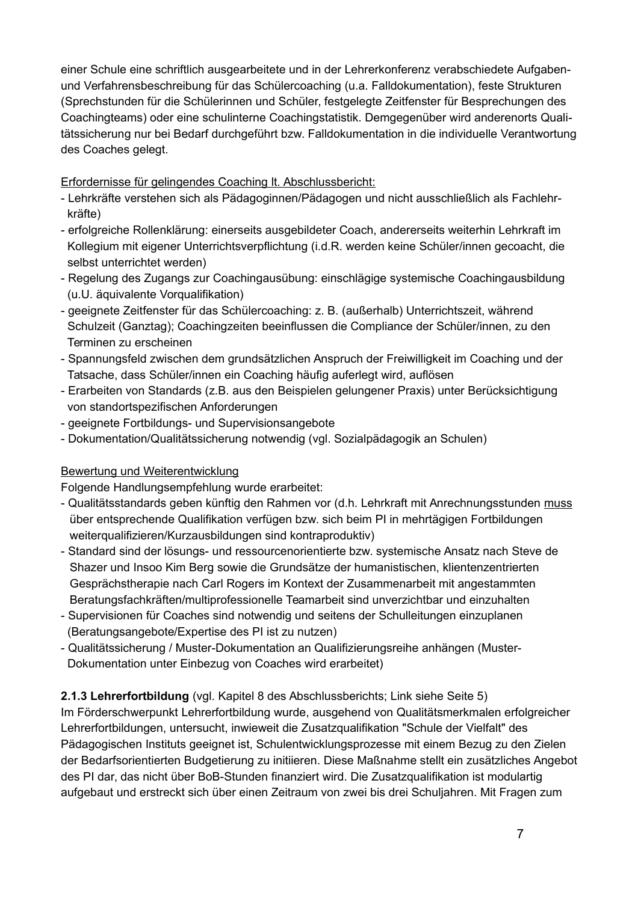einer Schule eine schriftlich ausgearbeitete und in der Lehrerkonferenz verabschiedete Aufgabenund Verfahrensbeschreibung für das Schülercoaching (u.a. Falldokumentation), feste Strukturen (Sprechstunden für die Schülerinnen und Schüler, festgelegte Zeitfenster für Besprechungen des Coachingteams) oder eine schulinterne Coachingstatistik. Demgegenüber wird anderenorts Qualitätssicherung nur bei Bedarf durchgeführt bzw. Falldokumentation in die individuelle Verantwortung des Coaches gelegt.

Erfordernisse für gelingendes Coaching It. Abschlussbericht:

- Lehrkräfte verstehen sich als Pädagoginnen/Pädagogen und nicht ausschließlich als Fachlehrkräfte)
- erfolgreiche Rollenklärung: einerseits ausgebildeter Coach, andererseits weiterhin Lehrkraft im Kollegium mit eigener Unterrichtsverpflichtung (i.d.R. werden keine Schüler/innen gecoacht, die selbst unterrichtet werden)
- Regelung des Zugangs zur Coachingausübung: einschlägige systemische Coachingausbildung (u.U. äquivalente Vorqualifikation)
- geeignete Zeitfenster für das Schülercoaching: z. B. (außerhalb) Unterrichtszeit, während Schulzeit (Ganztag); Coachingzeiten beeinflussen die Compliance der Schüler/innen, zu den Terminen zu erscheinen
- Spannungsfeld zwischen dem grundsätzlichen Anspruch der Freiwilligkeit im Coaching und der Tatsache, dass Schüler/innen ein Coaching häufig auferlegt wird, auflösen
- Erarbeiten von Standards (z.B. aus den Beispielen gelungener Praxis) unter Berücksichtigung von standortspezifischen Anforderungen
- geeignete Fortbildungs- und Supervisionsangebote
- Dokumentation/Qualitätssicherung notwendig (vgl. Sozialpädagogik an Schulen)

# Bewertung und Weiterentwicklung

Folgende Handlungsempfehlung wurde erarbeitet:

- Qualitätsstandards geben künftig den Rahmen vor (d.h. Lehrkraft mit Anrechnungsstunden muss über entsprechende Qualifikation verfügen bzw. sich beim PI in mehrtägigen Fortbildungen weiterqualifizieren/Kurzausbildungen sind kontraproduktiv)
- Standard sind der lösungs- und ressourcenorientierte bzw. systemische Ansatz nach Steve de Shazer und Insoo Kim Berg sowie die Grundsätze der humanistischen, klientenzentrierten Gesprächstherapie nach Carl Rogers im Kontext der Zusammenarbeit mit angestammten Beratungsfachkräften/multiprofessionelle Teamarbeit sind unverzichtbar und einzuhalten
- Supervisionen für Coaches sind notwendig und seitens der Schulleitungen einzuplanen (Beratungsangebote/Expertise des PI ist zu nutzen)
- Qualitätssicherung / Muster-Dokumentation an Qualifizierungsreihe anhängen (Muster-Dokumentation unter Einbezug von Coaches wird erarbeitet)

# 2.1.3 Lehrerfortbildung (vgl. Kapitel 8 des Abschlussberichts; Link siehe Seite 5)

Im Förderschwerpunkt Lehrerfortbildung wurde, ausgehend von Qualitätsmerkmalen erfolgreicher Lehrerfortbildungen, untersucht, inwieweit die Zusatzqualifikation "Schule der Vielfalt" des Pädagogischen Instituts geeignet ist. Schulentwicklungsprozesse mit einem Bezug zu den Zielen der Bedarfsorientierten Budgetierung zu initiieren. Diese Maßnahme stellt ein zusätzliches Angebot des PI dar, das nicht über BoB-Stunden finanziert wird. Die Zusatzqualifikation ist modulartig aufgebaut und erstreckt sich über einen Zeitraum von zwei bis drei Schuljahren. Mit Fragen zum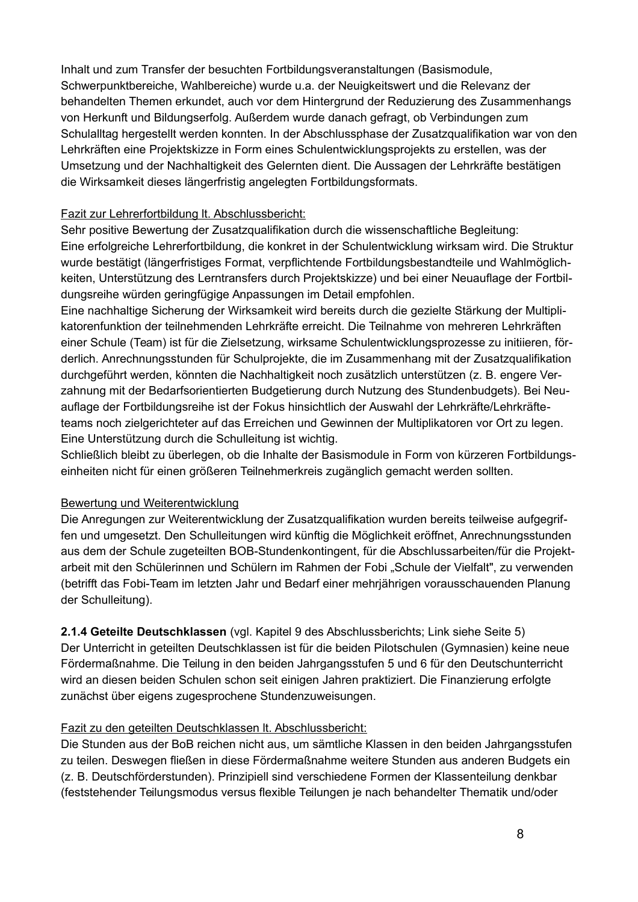Inhalt und zum Transfer der besuchten Fortbildungsveranstaltungen (Basismodule, Schwerpunktbereiche, Wahlbereiche) wurde u.a. der Neuigkeitswert und die Relevanz der behandelten Themen erkundet, auch vor dem Hintergrund der Reduzierung des Zusammenhangs von Herkunft und Bildungserfolg. Außerdem wurde danach gefragt, ob Verbindungen zum Schulalltag hergestellt werden konnten. In der Abschlussphase der Zusatzqualifikation war von den Lehrkräften eine Projektskizze in Form eines Schulentwicklungsprojekts zu erstellen, was der Umsetzung und der Nachhaltigkeit des Gelernten dient. Die Aussagen der Lehrkräfte bestätigen die Wirksamkeit dieses längerfristig angelegten Fortbildungsformats.

# **Fazit zur Lehrerfortbildung It. Abschlussbericht:**

Sehr positive Bewertung der Zusatzqualifikation durch die wissenschaftliche Begleitung: Eine erfolgreiche Lehrerfortbildung, die konkret in der Schulentwicklung wirksam wird. Die Struktur wurde bestätigt (längerfristiges Format, verpflichtende Fortbildungsbestandteile und Wahlmöglichkeiten, Unterstützung des Lerntransfers durch Projektskizze) und bei einer Neuauflage der Fortbildungsreihe würden geringfügige Anpassungen im Detail empfohlen.

Eine nachhaltige Sicherung der Wirksamkeit wird bereits durch die gezielte Stärkung der Multiplikatorenfunktion der teilnehmenden Lehrkräfte erreicht. Die Teilnahme von mehreren Lehrkräften einer Schule (Team) ist für die Zielsetzung, wirksame Schulentwicklungsprozesse zu initiieren, förderlich. Anrechnungsstunden für Schulprojekte, die im Zusammenhang mit der Zusatzqualifikation durchgeführt werden, könnten die Nachhaltigkeit noch zusätzlich unterstützen (z. B. engere Verzahnung mit der Bedarfsorientierten Budgetierung durch Nutzung des Stundenbudgets). Bei Neuauflage der Fortbildungsreihe ist der Fokus hinsichtlich der Auswahl der Lehrkräfte/Lehrkräfteteams noch zielgerichteter auf das Erreichen und Gewinnen der Multiplikatoren vor Ort zu legen. Eine Unterstützung durch die Schulleitung ist wichtig.

Schließlich bleibt zu überlegen, ob die Inhalte der Basismodule in Form von kürzeren Fortbildungseinheiten nicht für einen größeren Teilnehmerkreis zugänglich gemacht werden sollten.

# Bewertung und Weiterentwicklung

Die Anregungen zur Weiterentwicklung der Zusatzgualifikation wurden bereits teilweise aufgegriffen und umgesetzt. Den Schulleitungen wird künftig die Möglichkeit eröffnet, Anrechnungsstunden aus dem der Schule zugeteilten BOB-Stundenkontingent, für die Abschlussarbeiten/für die Projektarbeit mit den Schülerinnen und Schülern im Rahmen der Fobi "Schule der Vielfalt", zu verwenden (betrifft das Fobi-Team im letzten Jahr und Bedarf einer mehrjährigen vorausschauenden Planung der Schulleitung).

2.1.4 Geteilte Deutschklassen (vgl. Kapitel 9 des Abschlussberichts; Link siehe Seite 5) Der Unterricht in geteilten Deutschklassen ist für die beiden Pilotschulen (Gymnasien) keine neue Fördermaßnahme. Die Teilung in den beiden Jahrgangsstufen 5 und 6 für den Deutschunterricht wird an diesen beiden Schulen schon seit einigen Jahren praktiziert. Die Finanzierung erfolgte zunächst über eigens zugesprochene Stundenzuweisungen.

# Fazit zu den geteilten Deutschklassen It. Abschlussbericht:

Die Stunden aus der BoB reichen nicht aus, um sämtliche Klassen in den beiden Jahrgangsstufen zu teilen. Deswegen fließen in diese Fördermaßnahme weitere Stunden aus anderen Budgets ein (z. B. Deutschförderstunden). Prinzipiell sind verschiedene Formen der Klassenteilung denkbar (feststehender Teilungsmodus versus flexible Teilungen je nach behandelter Thematik und/oder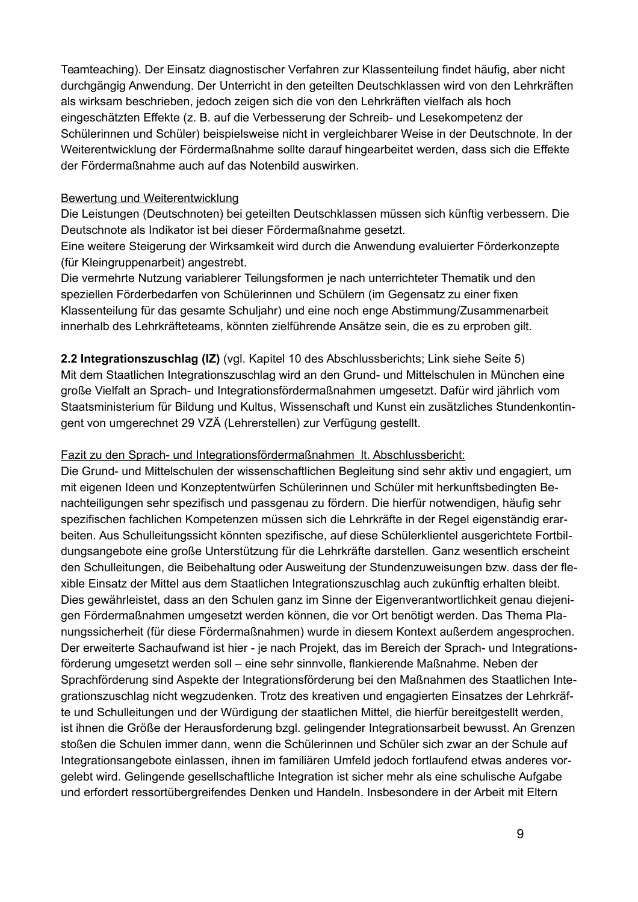Teamteaching). Der Einsatz diagnostischer Verfahren zur Klassenteilung findet häufig, aber nicht durchgängig Anwendung. Der Unterricht in den geteilten Deutschklassen wird von den Lehrkräften als wirksam beschrieben, jedoch zeigen sich die von den Lehrkräften vielfach als hoch eingeschätzten Effekte (z. B. auf die Verbesserung der Schreib- und Lesekompetenz der Schülerinnen und Schüler) beispielsweise nicht in vergleichbarer Weise in der Deutschnote. In der Weiterentwicklung der Fördermaßnahme sollte darauf hingearbeitet werden, dass sich die Effekte der Fördermaßnahme auch auf das Notenbild auswirken.

## Bewertung und Weiterentwicklung

Die Leistungen (Deutschnoten) bei geteilten Deutschklassen müssen sich künftig verbessern. Die Deutschnote als Indikator ist bei dieser Fördermaßnahme gesetzt.

Eine weitere Steigerung der Wirksamkeit wird durch die Anwendung evaluierter Förderkonzepte (für Kleingruppenarbeit) angestrebt.

Die vermehrte Nutzung variablerer Teilungsformen je nach unterrichteter Thematik und den speziellen Förderbedarfen von Schülerinnen und Schülern (im Gegensatz zu einer fixen Klassenteilung für das gesamte Schuljahr) und eine noch enge Abstimmung/Zusammenarbeit innerhalb des Lehrkräfteteams, könnten zielführende Ansätze sein, die es zu erproben gilt.

2.2 Integrationszuschlag (IZ) (vgl. Kapitel 10 des Abschlussberichts; Link siehe Seite 5) Mit dem Staatlichen Integrationszuschlag wird an den Grund- und Mittelschulen in München eine große Vielfalt an Sprach- und Integrationsfördermaßnahmen umgesetzt. Dafür wird jährlich vom Staatsministerium für Bildung und Kultus, Wissenschaft und Kunst ein zusätzliches Stundenkontingent von umgerechnet 29 VZÄ (Lehrerstellen) zur Verfügung gestellt.

## Fazit zu den Sprach- und Integrationsfördermaßnahmen It. Abschlussbericht:

Die Grund- und Mittelschulen der wissenschaftlichen Begleitung sind sehr aktiv und engagiert, um mit eigenen Ideen und Konzeptentwürfen Schülerinnen und Schüler mit herkunftsbedingten Benachteiligungen sehr spezifisch und passgenau zu fördern. Die hierfür notwendigen, häufig sehr spezifischen fachlichen Kompetenzen müssen sich die Lehrkräfte in der Regel eigenständig erarbeiten. Aus Schulleitungssicht könnten spezifische, auf diese Schülerklientel ausgerichtete Fortbildungsangebote eine große Unterstützung für die Lehrkräfte darstellen. Ganz wesentlich erscheint den Schulleitungen, die Beibehaltung oder Ausweitung der Stundenzuweisungen bzw. dass der flexible Einsatz der Mittel aus dem Staatlichen Integrationszuschlag auch zukünftig erhalten bleibt. Dies gewährleistet, dass an den Schulen ganz im Sinne der Eigenverantwortlichkeit genau diejenigen Fördermaßnahmen umgesetzt werden können, die vor Ort benötigt werden. Das Thema Planungssicherheit (für diese Fördermaßnahmen) wurde in diesem Kontext außerdem angesprochen. Der erweiterte Sachaufwand ist hier - je nach Projekt, das im Bereich der Sprach- und Integrationsförderung umgesetzt werden soll – eine sehr sinnvolle, flankierende Maßnahme. Neben der Sprachförderung sind Aspekte der Integrationsförderung bei den Maßnahmen des Staatlichen Integrationszuschlag nicht wegzudenken. Trotz des kreativen und engagierten Einsatzes der Lehrkräfte und Schulleitungen und der Würdigung der staatlichen Mittel, die hierfür bereitgestellt werden, ist ihnen die Größe der Herausforderung bzgl. gelingender Integrationsarbeit bewusst. An Grenzen stoßen die Schulen immer dann, wenn die Schülerinnen und Schüler sich zwar an der Schule auf Integrationsangebote einlassen, ihnen im familiären Umfeld jedoch fortlaufend etwas anderes vorgelebt wird. Gelingende gesellschaftliche Integration ist sicher mehr als eine schulische Aufgabe und erfordert ressortübergreifendes Denken und Handeln. Insbesondere in der Arbeit mit Eltern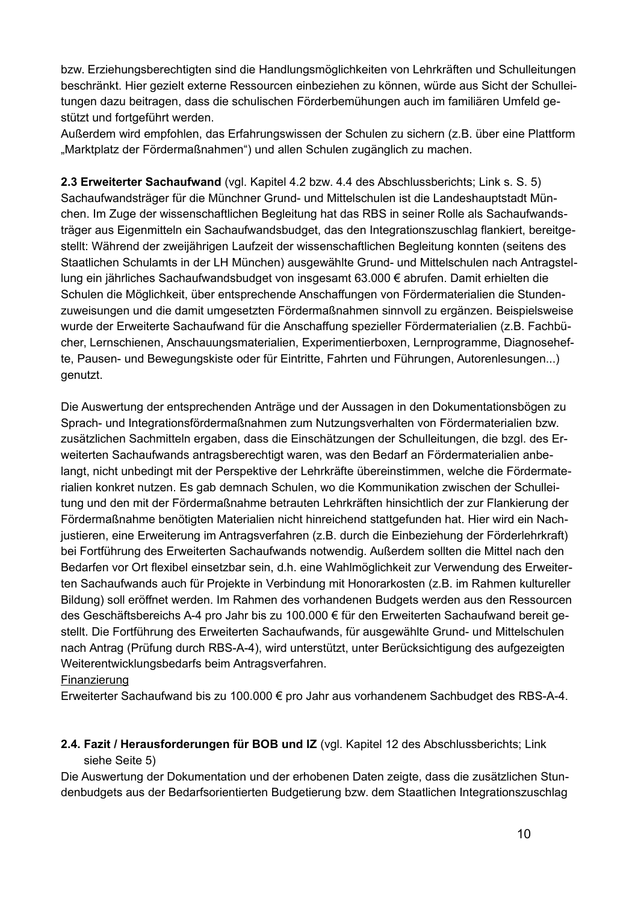bzw. Erziehungsberechtigten sind die Handlungsmöglichkeiten von Lehrkräften und Schulleitungen beschränkt. Hier gezielt externe Ressourcen einbeziehen zu können, würde aus Sicht der Schulleitungen dazu beitragen, dass die schulischen Förderbemühungen auch im familiären Umfeld gestützt und fortgeführt werden.

Außerdem wird empfohlen, das Erfahrungswissen der Schulen zu sichern (z.B. über eine Plattform "Marktplatz der Fördermaßnahmen") und allen Schulen zugänglich zu machen.

2.3 Erweiterter Sachaufwand (vgl. Kapitel 4.2 bzw. 4.4 des Abschlussberichts; Link s. S. 5) Sachaufwandsträger für die Münchner Grund- und Mittelschulen ist die Landeshauptstadt München. Im Zuge der wissenschaftlichen Begleitung hat das RBS in seiner Rolle als Sachaufwandsträger aus Eigenmitteln ein Sachaufwandsbudget, das den Integrationszuschlag flankiert, bereitgestellt: Während der zweijährigen Laufzeit der wissenschaftlichen Begleitung konnten (seitens des Staatlichen Schulamts in der LH München) ausgewählte Grund- und Mittelschulen nach Antragstellung ein jährliches Sachaufwandsbudget von insgesamt 63.000 € abrufen. Damit erhielten die Schulen die Möglichkeit, über entsprechende Anschaffungen von Fördermaterialien die Stundenzuweisungen und die damit umgesetzten Fördermaßnahmen sinnvoll zu ergänzen. Beispielsweise wurde der Erweiterte Sachaufwand für die Anschaffung spezieller Fördermaterialien (z.B. Fachbücher, Lernschienen, Anschauungsmaterialien, Experimentierboxen, Lernprogramme, Diagnosehefte, Pausen- und Bewegungskiste oder für Eintritte, Fahrten und Führungen, Autorenlesungen...) genutzt.

Die Auswertung der entsprechenden Anträge und der Aussagen in den Dokumentationsbögen zu Sprach- und Integrationsfördermaßnahmen zum Nutzungsverhalten von Fördermaterialien bzw. zusätzlichen Sachmitteln ergaben, dass die Einschätzungen der Schulleitungen, die bzgl. des Erweiterten Sachaufwands antragsberechtigt waren, was den Bedarf an Fördermaterialien anbelangt, nicht unbedingt mit der Perspektive der Lehrkräfte übereinstimmen, welche die Fördermaterialien konkret nutzen. Es gab demnach Schulen, wo die Kommunikation zwischen der Schulleitung und den mit der Fördermaßnahme betrauten Lehrkräften hinsichtlich der zur Flankierung der Fördermaßnahme benötigten Materialien nicht hinreichend stattgefunden hat. Hier wird ein Nachjustieren, eine Erweiterung im Antragsverfahren (z.B. durch die Einbeziehung der Förderlehrkraft) bei Fortführung des Erweiterten Sachaufwands notwendig. Außerdem sollten die Mittel nach den Bedarfen vor Ort flexibel einsetzbar sein, d.h. eine Wahlmöglichkeit zur Verwendung des Erweiterten Sachaufwands auch für Projekte in Verbindung mit Honorarkosten (z.B. im Rahmen kultureller Bildung) soll eröffnet werden. Im Rahmen des vorhandenen Budgets werden aus den Ressourcen des Geschäftsbereichs A-4 pro Jahr bis zu 100.000 € für den Erweiterten Sachaufwand bereit gestellt. Die Fortführung des Erweiterten Sachaufwands, für ausgewählte Grund- und Mittelschulen nach Antrag (Prüfung durch RBS-A-4), wird unterstützt, unter Berücksichtigung des aufgezeigten Weiterentwicklungsbedarfs beim Antragsverfahren.

## Finanzierung

Erweiterter Sachaufwand bis zu 100.000 € pro Jahr aus vorhandenem Sachbudget des RBS-A-4.

# 2.4. Fazit / Herausforderungen für BOB und IZ (vgl. Kapitel 12 des Abschlussberichts; Link siehe Seite 5)

Die Auswertung der Dokumentation und der erhobenen Daten zeigte, dass die zusätzlichen Stundenbudgets aus der Bedarfsorientierten Budgetierung bzw. dem Staatlichen Integrationszuschlag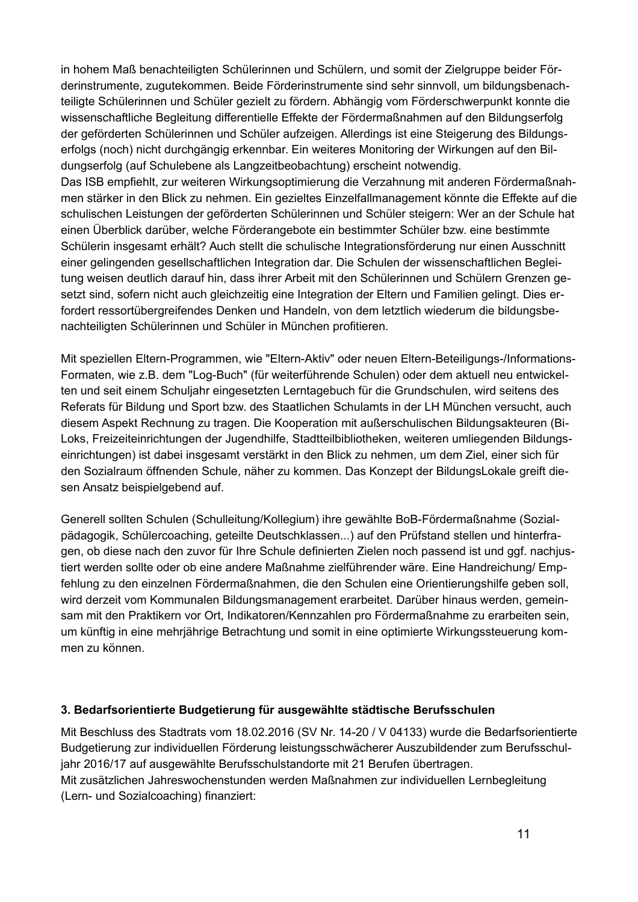in hohem Maß benachteiligten Schülerinnen und Schülern, und somit der Zielgruppe beider Förderinstrumente, zugutekommen. Beide Förderinstrumente sind sehr sinnvoll, um bildungsbenachteiligte Schülerinnen und Schüler gezielt zu fördern. Abhängig vom Förderschwerpunkt konnte die wissenschaftliche Begleitung differentielle Effekte der Fördermaßnahmen auf den Bildungserfolg der geförderten Schülerinnen und Schüler aufzeigen. Allerdings ist eine Steigerung des Bildungserfolgs (noch) nicht durchgängig erkennbar. Ein weiteres Monitoring der Wirkungen auf den Bildungserfolg (auf Schulebene als Langzeitbeobachtung) erscheint notwendig. Das ISB empfiehlt, zur weiteren Wirkungsoptimierung die Verzahnung mit anderen Fördermaßnah-

men stärker in den Blick zu nehmen. Ein gezieltes Einzelfallmanagement könnte die Effekte auf die schulischen Leistungen der geförderten Schülerinnen und Schüler steigern: Wer an der Schule hat einen Überblick darüber, welche Förderangebote ein bestimmter Schüler bzw. eine bestimmte Schülerin insgesamt erhält? Auch stellt die schulische Integrationsförderung nur einen Ausschnitt einer gelingenden gesellschaftlichen Integration dar. Die Schulen der wissenschaftlichen Begleitung weisen deutlich darauf hin, dass ihrer Arbeit mit den Schülerinnen und Schülern Grenzen gesetzt sind, sofern nicht auch gleichzeitig eine Integration der Eltern und Familien gelingt. Dies erfordert ressortübergreifendes Denken und Handeln, von dem letztlich wiederum die bildungsbenachteiligten Schülerinnen und Schüler in München profitieren.

Mit speziellen Eltern-Programmen, wie "Eltern-Aktiv" oder neuen Eltern-Beteiligungs-/Informations-Formaten, wie z.B. dem "Log-Buch" (für weiterführende Schulen) oder dem aktuell neu entwickelten und seit einem Schuljahr eingesetzten Lerntagebuch für die Grundschulen, wird seitens des Referats für Bildung und Sport bzw. des Staatlichen Schulamts in der LH München versucht, auch diesem Aspekt Rechnung zu tragen. Die Kooperation mit außerschulischen Bildungsakteuren (Bi-Loks, Freizeiteinrichtungen der Jugendhilfe, Stadtteilbibliotheken, weiteren umliegenden Bildungseinrichtungen) ist dabei insgesamt verstärkt in den Blick zu nehmen, um dem Ziel, einer sich für den Sozialraum öffnenden Schule, näher zu kommen. Das Konzept der BildungsLokale greift diesen Ansatz beispielgebend auf.

Generell sollten Schulen (Schulleitung/Kollegium) ihre gewählte BoB-Fördermaßnahme (Sozialpädagogik, Schülercoaching, geteilte Deutschklassen...) auf den Prüfstand stellen und hinterfragen, ob diese nach den zuvor für Ihre Schule definierten Zielen noch passend ist und ggf. nachjustiert werden sollte oder ob eine andere Maßnahme zielführender wäre. Eine Handreichung/ Empfehlung zu den einzelnen Fördermaßnahmen, die den Schulen eine Orientierungshilfe geben soll, wird derzeit vom Kommunalen Bildungsmanagement erarbeitet. Darüber hinaus werden, gemeinsam mit den Praktikern vor Ort, Indikatoren/Kennzahlen pro Fördermaßnahme zu erarbeiten sein, um künftig in eine mehrjährige Betrachtung und somit in eine optimierte Wirkungssteuerung kommen zu können.

# 3. Bedarfsorientierte Budgetierung für ausgewählte städtische Berufsschulen

Mit Beschluss des Stadtrats vom 18.02.2016 (SV Nr. 14-20 / V 04133) wurde die Bedarfsorientierte Budgetierung zur individuellen Förderung leistungsschwächerer Auszubildender zum Berufsschuljahr 2016/17 auf ausgewählte Berufsschulstandorte mit 21 Berufen übertragen. Mit zusätzlichen Jahreswochenstunden werden Maßnahmen zur individuellen Lernbegleitung (Lern- und Sozialcoaching) finanziert: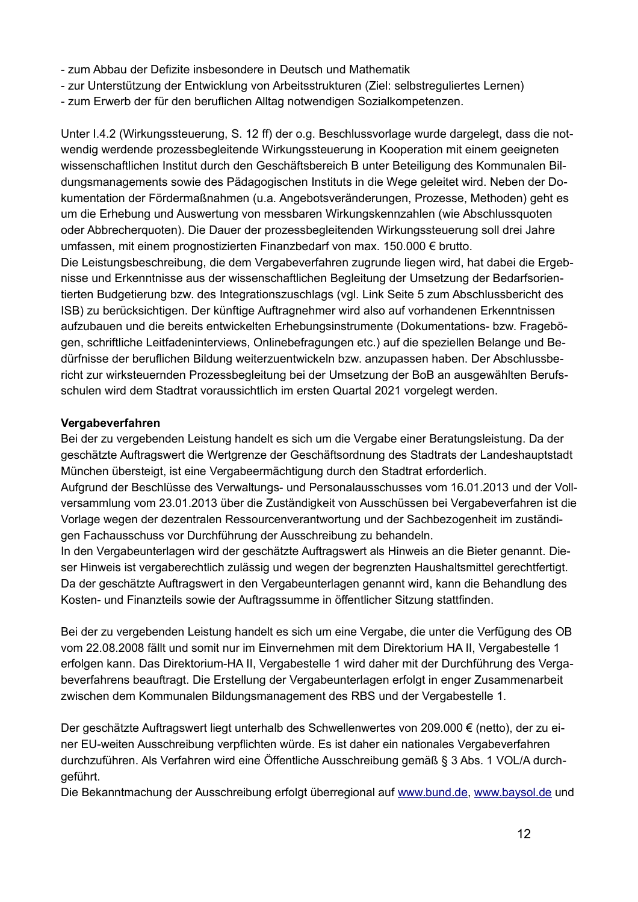- zum Abbau der Defizite insbesondere in Deutsch und Mathematik
- zur Unterstützung der Entwicklung von Arbeitsstrukturen (Ziel: selbstreguliertes Lernen)
- zum Erwerb der für den beruflichen Alltag notwendigen Sozialkompetenzen.

Unter I.4.2 (Wirkungssteuerung, S. 12 ff) der o.g. Beschlussvorlage wurde dargelegt, dass die notwendig werdende prozessbegleitende Wirkungssteuerung in Kooperation mit einem geeigneten wissenschaftlichen Institut durch den Geschäftsbereich B unter Beteiligung des Kommunalen Bildungsmanagements sowie des Pädagogischen Instituts in die Wege geleitet wird. Neben der Dokumentation der Fördermaßnahmen (u.a. Angebotsveränderungen, Prozesse, Methoden) geht es um die Erhebung und Auswertung von messbaren Wirkungskennzahlen (wie Abschlussquoten oder Abbrecherguoten). Die Dauer der prozessbegleitenden Wirkungssteuerung soll drei Jahre umfassen, mit einem prognostizierten Finanzbedarf von max. 150.000 € brutto. Die Leistungsbeschreibung, die dem Vergabeverfahren zugrunde liegen wird, hat dabei die Ergebnisse und Erkenntnisse aus der wissenschaftlichen Begleitung der Umsetzung der Bedarfsorientierten Budgetierung bzw. des Integrationszuschlags (vgl. Link Seite 5 zum Abschlussbericht des ISB) zu berücksichtigen. Der künftige Auftragnehmer wird also auf vorhandenen Erkenntnissen aufzubauen und die bereits entwickelten Erhebungsinstrumente (Dokumentations- bzw. Fragebögen, schriftliche Leitfadeninterviews, Onlinebefragungen etc.) auf die speziellen Belange und Bedürfnisse der beruflichen Bildung weiterzuentwickeln bzw. anzupassen haben. Der Abschlussbericht zur wirksteuernden Prozessbegleitung bei der Umsetzung der BoB an ausgewählten Berufsschulen wird dem Stadtrat voraussichtlich im ersten Quartal 2021 vorgelegt werden.

# Vergabeverfahren

Bei der zu vergebenden Leistung handelt es sich um die Vergabe einer Beratungsleistung. Da der geschätzte Auftragswert die Wertgrenze der Geschäftsordnung des Stadtrats der Landeshauptstadt München übersteigt, ist eine Vergabeermächtigung durch den Stadtrat erforderlich.

Aufgrund der Beschlüsse des Verwaltungs- und Personalausschusses vom 16.01.2013 und der Vollversammlung vom 23.01.2013 über die Zuständigkeit von Ausschüssen bei Vergabeverfahren ist die Vorlage wegen der dezentralen Ressourcenverantwortung und der Sachbezogenheit im zuständigen Fachausschuss vor Durchführung der Ausschreibung zu behandeln.

In den Vergabeunterlagen wird der geschätzte Auftragswert als Hinweis an die Bieter genannt. Dieser Hinweis ist vergaberechtlich zulässig und wegen der begrenzten Haushaltsmittel gerechtfertigt. Da der geschätzte Auftragswert in den Vergabeunterlagen genannt wird, kann die Behandlung des Kosten- und Finanzteils sowie der Auftragssumme in öffentlicher Sitzung stattfinden.

Bei der zu vergebenden Leistung handelt es sich um eine Vergabe, die unter die Verfügung des OB vom 22.08.2008 fällt und somit nur im Einvernehmen mit dem Direktorium HA II, Vergabestelle 1 erfolgen kann. Das Direktorium-HA II. Vergabestelle 1 wird daher mit der Durchführung des Vergabeverfahrens beauftragt. Die Erstellung der Vergabeunterlagen erfolgt in enger Zusammenarbeit zwischen dem Kommunalen Bildungsmanagement des RBS und der Vergabestelle 1.

Der geschätzte Auftragswert liegt unterhalb des Schwellenwertes von 209.000 € (netto), der zu einer EU-weiten Ausschreibung verpflichten würde. Es ist daher ein nationales Vergabeverfahren durchzuführen. Als Verfahren wird eine Öffentliche Ausschreibung gemäß § 3 Abs. 1 VOL/A durchgeführt.

Die Bekanntmachung der Ausschreibung erfolgt überregional auf www.bund.de, www.baysol.de und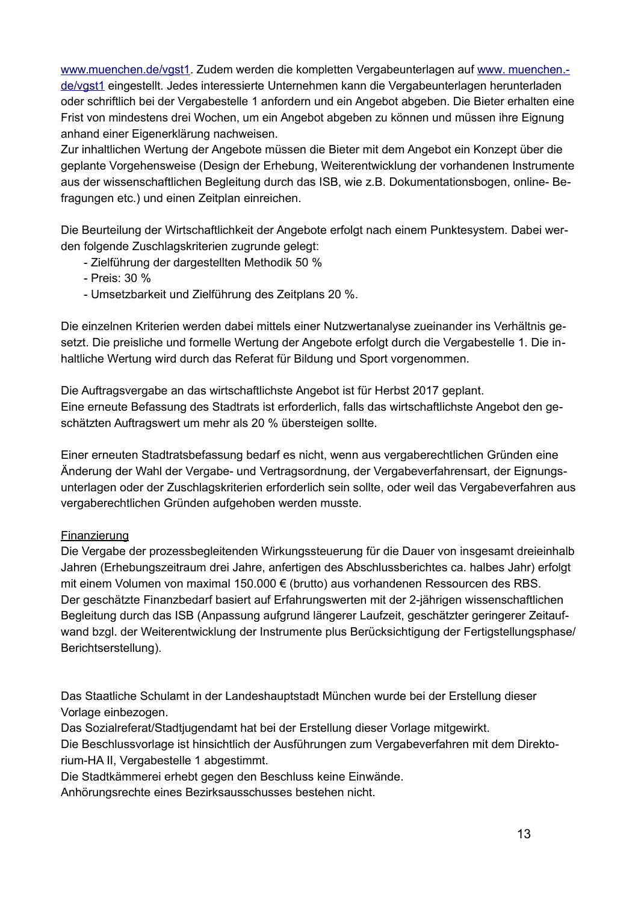www.muenchen.de/vgst1. Zudem werden die kompletten Vergabeunterlagen auf www. muenchen.de/vgst1 eingestellt. Jedes interessierte Unternehmen kann die Vergabeunterlagen herunterladen oder schriftlich bei der Vergabestelle 1 anfordern und ein Angebot abgeben. Die Bieter erhalten eine Frist von mindestens drei Wochen, um ein Angebot abgeben zu können und müssen ihre Eignung anhand einer Eigenerklärung nachweisen.

Zur inhaltlichen Wertung der Angebote müssen die Bieter mit dem Angebot ein Konzept über die geplante Vorgehensweise (Design der Erhebung, Weiterentwicklung der vorhandenen Instrumente aus der wissenschaftlichen Begleitung durch das ISB, wie z.B. Dokumentationsbogen, online-Befragungen etc.) und einen Zeitplan einreichen.

Die Beurteilung der Wirtschaftlichkeit der Angebote erfolgt nach einem Punktesystem. Dabei werden folgende Zuschlagskriterien zugrunde gelegt:

- Zielführung der dargestellten Methodik 50 %
- Preis: 30 %
- Umsetzbarkeit und Zielführung des Zeitplans 20 %.

Die einzelnen Kriterien werden dabei mittels einer Nutzwertanalyse zueinander ins Verhältnis gesetzt. Die preisliche und formelle Wertung der Angebote erfolgt durch die Vergabestelle 1. Die inhaltliche Wertung wird durch das Referat für Bildung und Sport vorgenommen.

Die Auftragsvergabe an das wirtschaftlichste Angebot ist für Herbst 2017 geplant. Eine erneute Befassung des Stadtrats ist erforderlich, falls das wirtschaftlichste Angebot den geschätzten Auftragswert um mehr als 20 % übersteigen sollte.

Einer erneuten Stadtratsbefassung bedarf es nicht, wenn aus vergaberechtlichen Gründen eine Änderung der Wahl der Vergabe- und Vertragsordnung, der Vergabeverfahrensart, der Eignungsunterlagen oder der Zuschlagskriterien erforderlich sein sollte, oder weil das Vergabeverfahren aus vergaberechtlichen Gründen aufgehoben werden musste.

## Finanzierung

Die Vergabe der prozessbegleitenden Wirkungssteuerung für die Dauer von insgesamt dreieinhalb Jahren (Erhebungszeitraum drei Jahre, anfertigen des Abschlussberichtes ca. halbes Jahr) erfolgt mit einem Volumen von maximal 150.000 € (brutto) aus vorhandenen Ressourcen des RBS. Der geschätzte Finanzbedarf basiert auf Erfahrungswerten mit der 2-jährigen wissenschaftlichen Begleitung durch das ISB (Anpassung aufgrund längerer Laufzeit, geschätzter geringerer Zeitaufwand bzgl. der Weiterentwicklung der Instrumente plus Berücksichtigung der Fertigstellungsphase/ Berichtserstellung).

Das Staatliche Schulamt in der Landeshauptstadt München wurde bei der Erstellung dieser Vorlage einbezogen.

Das Sozialreferat/Stadtjugendamt hat bei der Erstellung dieser Vorlage mitgewirkt.

Die Beschlussvorlage ist hinsichtlich der Ausführungen zum Vergabeverfahren mit dem Direktorium-HA II, Vergabestelle 1 abgestimmt.

Die Stadtkämmerei erhebt gegen den Beschluss keine Einwände.

Anhörungsrechte eines Bezirksausschusses bestehen nicht.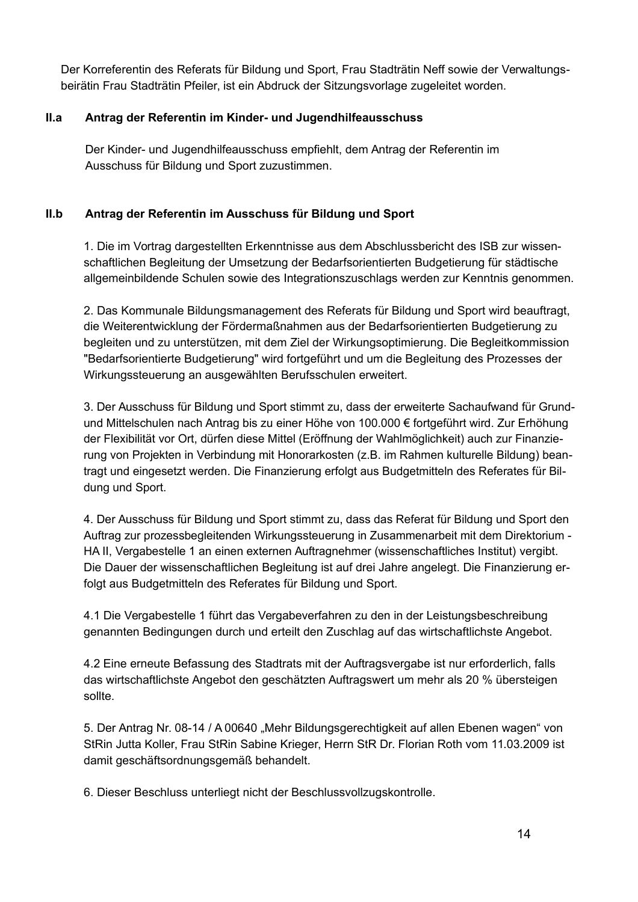Der Korreferentin des Referats für Bildung und Sport, Frau Stadträtin Neff sowie der Verwaltungsbeirätin Frau Stadträtin Pfeiler, ist ein Abdruck der Sitzungsvorlage zugeleitet worden.

#### $II.a$ Antrag der Referentin im Kinder- und Jugendhilfeausschuss

Der Kinder- und Jugendhilfeausschuss empfiehlt, dem Antrag der Referentin im Ausschuss für Bildung und Sport zuzustimmen.

#### $II.b$ Antrag der Referentin im Ausschuss für Bildung und Sport

1. Die im Vortrag dargestellten Erkenntnisse aus dem Abschlussbericht des ISB zur wissenschaftlichen Begleitung der Umsetzung der Bedarfsorientierten Budgetierung für städtische allgemeinbildende Schulen sowie des Integrationszuschlags werden zur Kenntnis genommen.

2. Das Kommunale Bildungsmanagement des Referats für Bildung und Sport wird beauftragt, die Weiterentwicklung der Fördermaßnahmen aus der Bedarfsorientierten Budgetierung zu begleiten und zu unterstützen, mit dem Ziel der Wirkungsoptimierung. Die Begleitkommission "Bedarfsorientierte Budgetierung" wird fortgeführt und um die Begleitung des Prozesses der Wirkungssteuerung an ausgewählten Berufsschulen erweitert.

3. Der Ausschuss für Bildung und Sport stimmt zu, dass der erweiterte Sachaufwand für Grundund Mittelschulen nach Antrag bis zu einer Höhe von 100.000 € fortgeführt wird. Zur Erhöhung der Flexibilität vor Ort, dürfen diese Mittel (Eröffnung der Wahlmöglichkeit) auch zur Finanzierung von Projekten in Verbindung mit Honorarkosten (z.B. im Rahmen kulturelle Bildung) beantragt und eingesetzt werden. Die Finanzierung erfolgt aus Budgetmitteln des Referates für Bildung und Sport.

4. Der Ausschuss für Bildung und Sport stimmt zu, dass das Referat für Bildung und Sport den Auftrag zur prozessbegleitenden Wirkungssteuerung in Zusammenarbeit mit dem Direktorium -HA II, Vergabestelle 1 an einen externen Auftragnehmer (wissenschaftliches Institut) vergibt. Die Dauer der wissenschaftlichen Begleitung ist auf drei Jahre angelegt. Die Finanzierung erfolgt aus Budgetmitteln des Referates für Bildung und Sport.

4.1 Die Vergabestelle 1 führt das Vergabeverfahren zu den in der Leistungsbeschreibung genannten Bedingungen durch und erteilt den Zuschlag auf das wirtschaftlichste Angebot.

4.2 Eine erneute Befassung des Stadtrats mit der Auftragsvergabe ist nur erforderlich, falls das wirtschaftlichste Angebot den geschätzten Auftragswert um mehr als 20 % übersteigen sollte.

5. Der Antrag Nr. 08-14 / A 00640 "Mehr Bildungsgerechtigkeit auf allen Ebenen wagen" von StRin Jutta Koller, Frau StRin Sabine Krieger, Herrn StR Dr. Florian Roth vom 11.03.2009 ist damit geschäftsordnungsgemäß behandelt.

6. Dieser Beschluss unterliegt nicht der Beschlussvollzugskontrolle.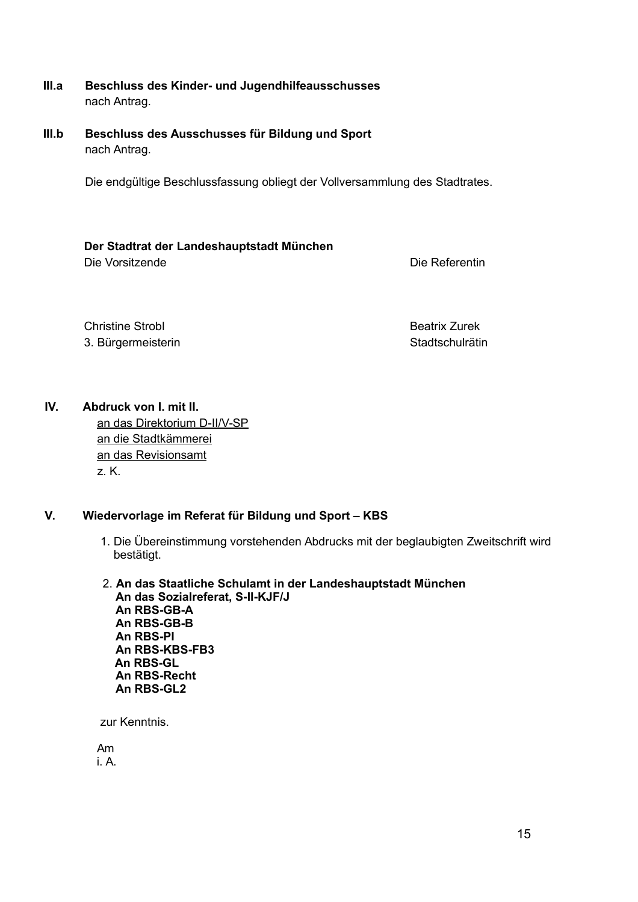- $III.a$ Beschluss des Kinder- und Jugendhilfeausschusses nach Antrag.
- $III.b$ Beschluss des Ausschusses für Bildung und Sport nach Antrag.

Die endgültige Beschlussfassung obliegt der Vollversammlung des Stadtrates.

## Der Stadtrat der Landeshauptstadt München

Die Vorsitzende

Die Referentin

**Christine Strobl** 3. Bürgermeisterin **Beatrix Zurek Stadtschulrätin** 

 $\mathbf{N}$ Abdruck von I. mit II.

an das Direktorium D-II/V-SP an die Stadtkämmerei an das Revisionsamt z. K.

#### V. Wiedervorlage im Referat für Bildung und Sport - KBS

- 1. Die Übereinstimmung vorstehenden Abdrucks mit der beglaubigten Zweitschrift wird bestätigt.
- 2. An das Staatliche Schulamt in der Landeshauptstadt München An das Sozialreferat, S-II-KJF/J An RBS-GB-A An RBS-GB-B An RBS-PI An RBS-KBS-FB3 An RBS-GL An RBS-Recht An RBS-GL2

zur Kenntnis.

Am  $iA$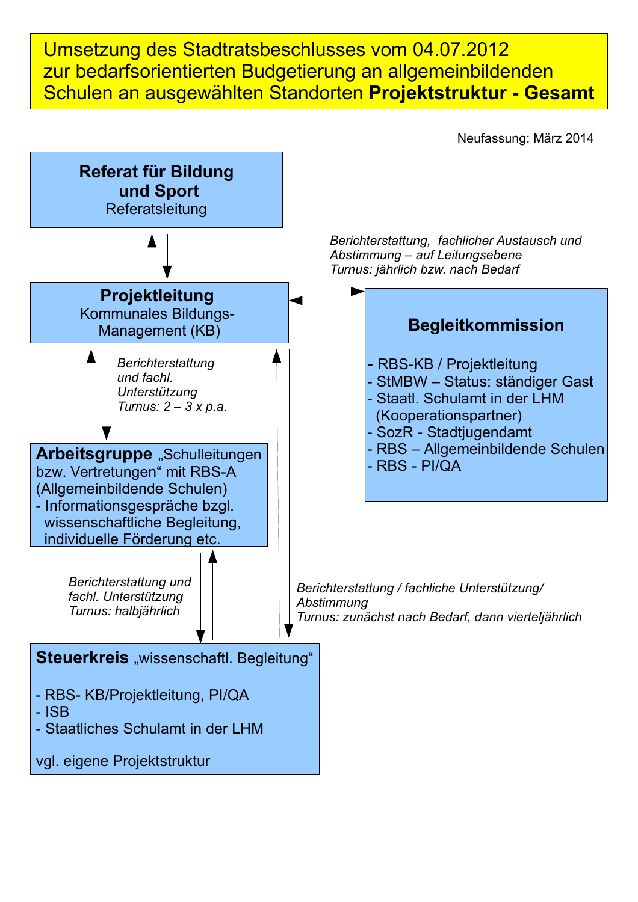Umsetzung des Stadtratsbeschlusses vom 04.07.2012 zur bedarfsorientierten Budgetierung an allgemeinbildenden Schulen an ausgewählten Standorten Projektstruktur - Gesamt

Neufassung: März 2014